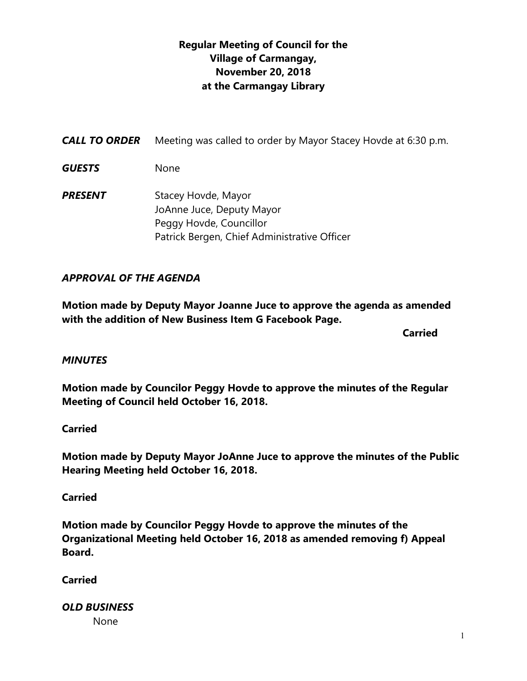## **Regular Meeting of Council for the Village of Carmangay, November 20, 2018 at the Carmangay Library**

| <b>CALL TO ORDER</b> | Meeting was called to order by Mayor Stacey Hovde at 6:30 p.m.                                                              |
|----------------------|-----------------------------------------------------------------------------------------------------------------------------|
| <b>GUESTS</b>        | None                                                                                                                        |
| <b>PRESENT</b>       | Stacey Hovde, Mayor<br>JoAnne Juce, Deputy Mayor<br>Peggy Hovde, Councillor<br>Patrick Bergen, Chief Administrative Officer |

### *APPROVAL OF THE AGENDA*

**Motion made by Deputy Mayor Joanne Juce to approve the agenda as amended with the addition of New Business Item G Facebook Page.**

**Carried** 

#### *MINUTES*

**Motion made by Councilor Peggy Hovde to approve the minutes of the Regular Meeting of Council held October 16, 2018.**

#### **Carried**

**Motion made by Deputy Mayor JoAnne Juce to approve the minutes of the Public Hearing Meeting held October 16, 2018.**

#### **Carried**

**Motion made by Councilor Peggy Hovde to approve the minutes of the Organizational Meeting held October 16, 2018 as amended removing f) Appeal Board.**

#### **Carried**

*OLD BUSINESS*

None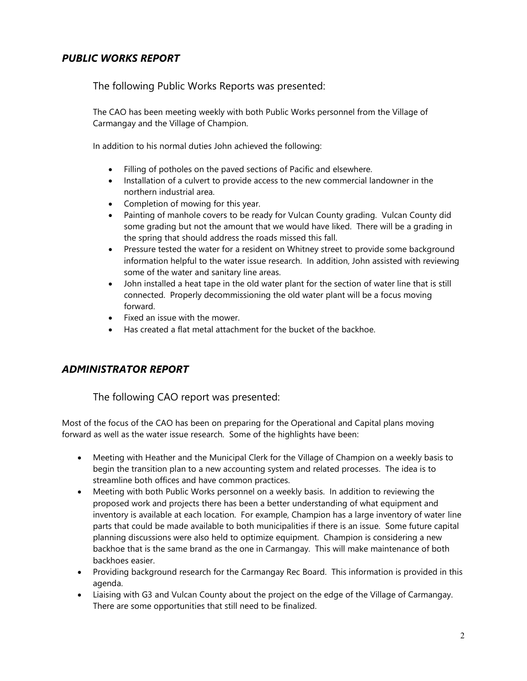#### *PUBLIC WORKS REPORT*

The following Public Works Reports was presented:

The CAO has been meeting weekly with both Public Works personnel from the Village of Carmangay and the Village of Champion.

In addition to his normal duties John achieved the following:

- Filling of potholes on the paved sections of Pacific and elsewhere.
- Installation of a culvert to provide access to the new commercial landowner in the northern industrial area.
- Completion of mowing for this year.
- Painting of manhole covers to be ready for Vulcan County grading. Vulcan County did some grading but not the amount that we would have liked. There will be a grading in the spring that should address the roads missed this fall.
- Pressure tested the water for a resident on Whitney street to provide some background information helpful to the water issue research. In addition, John assisted with reviewing some of the water and sanitary line areas.
- John installed a heat tape in the old water plant for the section of water line that is still connected. Properly decommissioning the old water plant will be a focus moving forward.
- Fixed an issue with the mower.
- Has created a flat metal attachment for the bucket of the backhoe.

#### *ADMINISTRATOR REPORT*

The following CAO report was presented:

Most of the focus of the CAO has been on preparing for the Operational and Capital plans moving forward as well as the water issue research. Some of the highlights have been:

- Meeting with Heather and the Municipal Clerk for the Village of Champion on a weekly basis to begin the transition plan to a new accounting system and related processes. The idea is to streamline both offices and have common practices.
- Meeting with both Public Works personnel on a weekly basis. In addition to reviewing the proposed work and projects there has been a better understanding of what equipment and inventory is available at each location. For example, Champion has a large inventory of water line parts that could be made available to both municipalities if there is an issue. Some future capital planning discussions were also held to optimize equipment. Champion is considering a new backhoe that is the same brand as the one in Carmangay. This will make maintenance of both backhoes easier.
- Providing background research for the Carmangay Rec Board. This information is provided in this agenda.
- Liaising with G3 and Vulcan County about the project on the edge of the Village of Carmangay. There are some opportunities that still need to be finalized.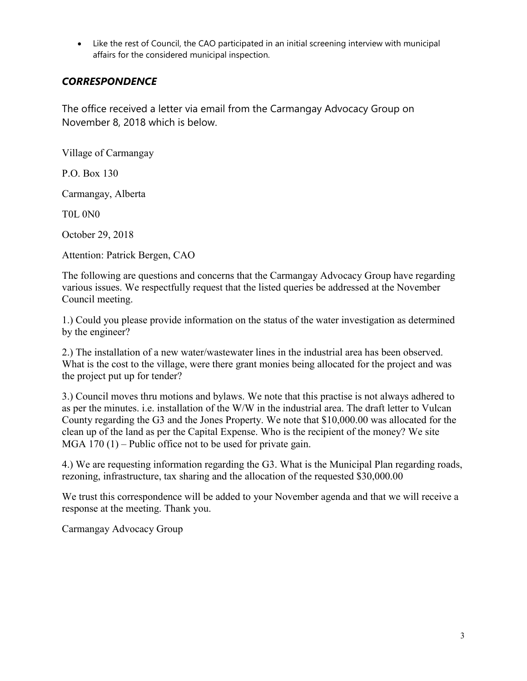• Like the rest of Council, the CAO participated in an initial screening interview with municipal affairs for the considered municipal inspection.

### *CORRESPONDENCE*

The office received a letter via email from the Carmangay Advocacy Group on November 8, 2018 which is below.

Village of Carmangay

P.O. Box 130

Carmangay, Alberta

T0L 0N0

October 29, 2018

Attention: Patrick Bergen, CAO

The following are questions and concerns that the Carmangay Advocacy Group have regarding various issues. We respectfully request that the listed queries be addressed at the November Council meeting.

1.) Could you please provide information on the status of the water investigation as determined by the engineer?

2.) The installation of a new water/wastewater lines in the industrial area has been observed. What is the cost to the village, were there grant monies being allocated for the project and was the project put up for tender?

3.) Council moves thru motions and bylaws. We note that this practise is not always adhered to as per the minutes. i.e. installation of the W/W in the industrial area. The draft letter to Vulcan County regarding the G3 and the Jones Property. We note that \$10,000.00 was allocated for the clean up of the land as per the Capital Expense. Who is the recipient of the money? We site MGA 170 (1) – Public office not to be used for private gain.

4.) We are requesting information regarding the G3. What is the Municipal Plan regarding roads, rezoning, infrastructure, tax sharing and the allocation of the requested \$30,000.00

We trust this correspondence will be added to your November agenda and that we will receive a response at the meeting. Thank you.

Carmangay Advocacy Group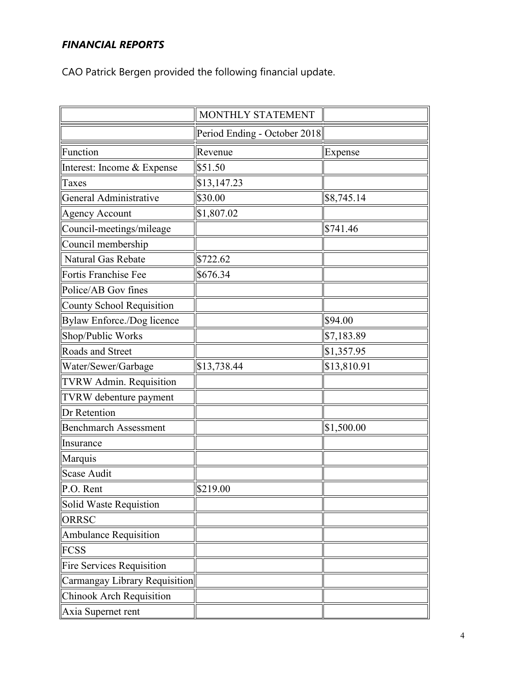# *FINANCIAL REPORTS*

CAO Patrick Bergen provided the following financial update.

|                                  | MONTHLY STATEMENT            |             |
|----------------------------------|------------------------------|-------------|
|                                  | Period Ending - October 2018 |             |
| Function                         | Revenue                      | Expense     |
| Interest: Income & Expense       | \$51.50                      |             |
| Taxes                            | \$13,147.23                  |             |
| General Administrative           | \$30.00                      | \$8,745.14  |
| Agency Account                   | \$1,807.02                   |             |
| Council-meetings/mileage         |                              | \$741.46    |
| Council membership               |                              |             |
| Natural Gas Rebate               | \$722.62                     |             |
| Fortis Franchise Fee             | \$676.34                     |             |
| Police/AB Gov fines              |                              |             |
| County School Requisition        |                              |             |
| Bylaw Enforce./Dog licence       |                              | \$94.00     |
| Shop/Public Works                |                              | \$7,183.89  |
| Roads and Street                 |                              | \$1,357.95  |
| Water/Sewer/Garbage              | \$13,738.44                  | \$13,810.91 |
| TVRW Admin. Requisition          |                              |             |
| TVRW debenture payment           |                              |             |
| Dr Retention                     |                              |             |
| Benchmarch Assessment            |                              | \$1,500.00  |
| Insurance                        |                              |             |
| Marquis                          |                              |             |
| Scase Audit                      |                              |             |
| $\vert$ P.O. Rent                | $\frac{$219.00}{$            |             |
| Solid Waste Requistion           |                              |             |
| <b>ORRSC</b>                     |                              |             |
| Ambulance Requisition            |                              |             |
| FCSS                             |                              |             |
| <b>Fire Services Requisition</b> |                              |             |
| Carmangay Library Requisition    |                              |             |
| Chinook Arch Requisition         |                              |             |
| Axia Supernet rent               |                              |             |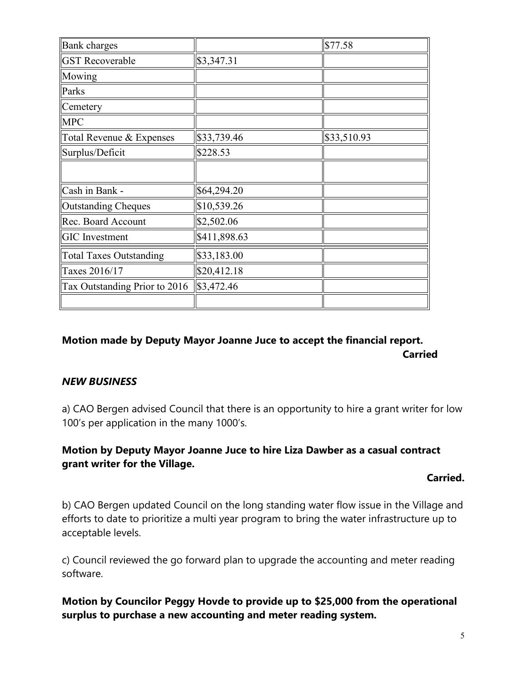| <b>Bank</b> charges            |              | \$77.58     |
|--------------------------------|--------------|-------------|
| <b>GST</b> Recoverable         | \$3,347.31   |             |
| Mowing                         |              |             |
| Parks                          |              |             |
| Cemetery                       |              |             |
| <b>MPC</b>                     |              |             |
| Total Revenue & Expenses       | \$33,739.46  | \$33,510.93 |
| Surplus/Deficit                | \$228.53     |             |
|                                |              |             |
| Cash in Bank -                 | \$64,294.20  |             |
| Outstanding Cheques            | \$10,539.26  |             |
| Rec. Board Account             | \$2,502.06   |             |
| <b>GIC</b> Investment          | \$411,898.63 |             |
| <b>Total Taxes Outstanding</b> | \$33,183.00  |             |
| Taxes 2016/17                  | \$20,412.18  |             |
| Tax Outstanding Prior to 2016  | \$3,472.46   |             |
|                                |              |             |

### **Motion made by Deputy Mayor Joanne Juce to accept the financial report. Carried**

#### *NEW BUSINESS*

a) CAO Bergen advised Council that there is an opportunity to hire a grant writer for low 100's per application in the many 1000's.

### **Motion by Deputy Mayor Joanne Juce to hire Liza Dawber as a casual contract grant writer for the Village.**

#### **Carried.**

b) CAO Bergen updated Council on the long standing water flow issue in the Village and efforts to date to prioritize a multi year program to bring the water infrastructure up to acceptable levels.

c) Council reviewed the go forward plan to upgrade the accounting and meter reading software.

### **Motion by Councilor Peggy Hovde to provide up to \$25,000 from the operational surplus to purchase a new accounting and meter reading system.**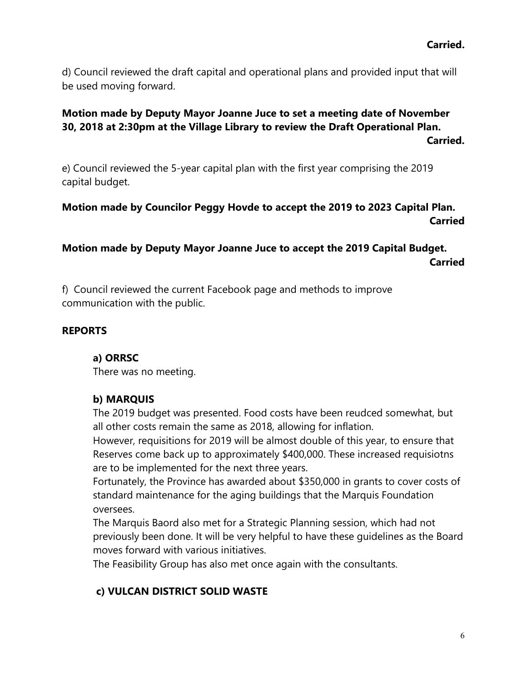d) Council reviewed the draft capital and operational plans and provided input that will be used moving forward.

#### **Motion made by Deputy Mayor Joanne Juce to set a meeting date of November 30, 2018 at 2:30pm at the Village Library to review the Draft Operational Plan. Carried.**

e) Council reviewed the 5-year capital plan with the first year comprising the 2019 capital budget.

### **Motion made by Councilor Peggy Hovde to accept the 2019 to 2023 Capital Plan. Carried**

## **Motion made by Deputy Mayor Joanne Juce to accept the 2019 Capital Budget. Carried**

f) Council reviewed the current Facebook page and methods to improve communication with the public.

### **REPORTS**

### **a) ORRSC**

There was no meeting.

#### **b) MARQUIS**

The 2019 budget was presented. Food costs have been reudced somewhat, but all other costs remain the same as 2018, allowing for inflation.

However, requisitions for 2019 will be almost double of this year, to ensure that Reserves come back up to approximately \$400,000. These increased requisiotns are to be implemented for the next three years.

Fortunately, the Province has awarded about \$350,000 in grants to cover costs of standard maintenance for the aging buildings that the Marquis Foundation oversees.

The Marquis Baord also met for a Strategic Planning session, which had not previously been done. It will be very helpful to have these guidelines as the Board moves forward with various initiatives.

The Feasibility Group has also met once again with the consultants.

### **c) VULCAN DISTRICT SOLID WASTE**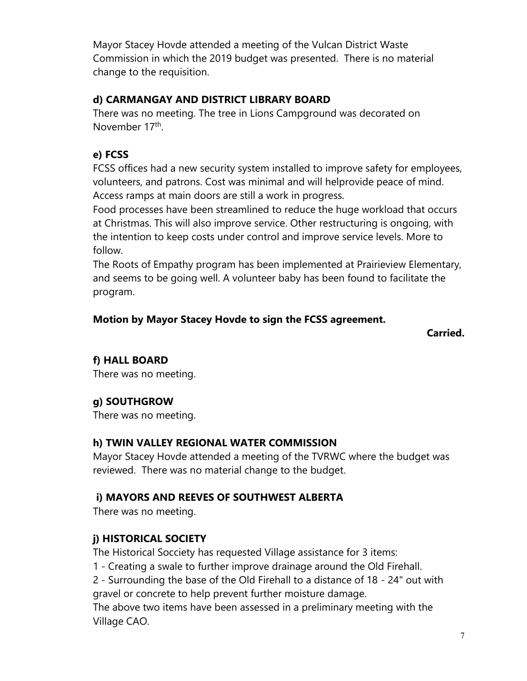Mayor Stacey Hovde attended a meeting of the Vulcan District Waste Commission in which the 2019 budget was presented. There is no material change to the requisition.

## **d) CARMANGAY AND DISTRICT LIBRARY BOARD**

There was no meeting. The tree in Lions Campground was decorated on November 17<sup>th</sup>.

# **e) FCSS**

FCSS offices had a new security system installed to improve safety for employees, volunteers, and patrons. Cost was minimal and will helprovide peace of mind. Access ramps at main doors are still a work in progress.

Food processes have been streamlined to reduce the huge workload that occurs at Christmas. This will also improve service. Other restructuring is ongoing, with the intention to keep costs under control and improve service levels. More to follow.

The Roots of Empathy program has been implemented at Prairieview Elementary, and seems to be going well. A volunteer baby has been found to facilitate the program.

## **Motion by Mayor Stacey Hovde to sign the FCSS agreement.**

**Carried.**

# **f) HALL BOARD**

There was no meeting.

# **g) SOUTHGROW**

There was no meeting.

# **h) TWIN VALLEY REGIONAL WATER COMMISSION**

Mayor Stacey Hovde attended a meeting of the TVRWC where the budget was reviewed. There was no material change to the budget.

# **i) MAYORS AND REEVES OF SOUTHWEST ALBERTA**

There was no meeting.

# **j) HISTORICAL SOCIETY**

The Historical Socciety has requested Village assistance for 3 items:

1 - Creating a swale to further improve drainage around the Old Firehall.

2 - Surrounding the base of the Old Firehall to a distance of 18 - 24" out with gravel or concrete to help prevent further moisture damage.

The above two items have been assessed in a preliminary meeting with the Village CAO.